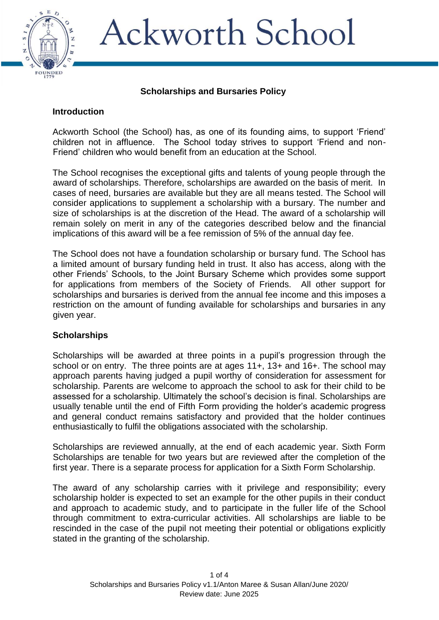

# **Ackworth School**

### **Scholarships and Bursaries Policy**

## **Introduction**

Ackworth School (the School) has, as one of its founding aims, to support 'Friend' children not in affluence. The School today strives to support 'Friend and non-Friend' children who would benefit from an education at the School.

The School recognises the exceptional gifts and talents of young people through the award of scholarships. Therefore, scholarships are awarded on the basis of merit. In cases of need, bursaries are available but they are all means tested. The School will consider applications to supplement a scholarship with a bursary. The number and size of scholarships is at the discretion of the Head. The award of a scholarship will remain solely on merit in any of the categories described below and the financial implications of this award will be a fee remission of 5% of the annual day fee.

The School does not have a foundation scholarship or bursary fund. The School has a limited amount of bursary funding held in trust. It also has access, along with the other Friends' Schools, to the Joint Bursary Scheme which provides some support for applications from members of the Society of Friends. All other support for scholarships and bursaries is derived from the annual fee income and this imposes a restriction on the amount of funding available for scholarships and bursaries in any given year.

# **Scholarships**

Scholarships will be awarded at three points in a pupil's progression through the school or on entry. The three points are at ages 11+, 13+ and 16+. The school may approach parents having judged a pupil worthy of consideration for assessment for scholarship. Parents are welcome to approach the school to ask for their child to be assessed for a scholarship. Ultimately the school's decision is final. Scholarships are usually tenable until the end of Fifth Form providing the holder's academic progress and general conduct remains satisfactory and provided that the holder continues enthusiastically to fulfil the obligations associated with the scholarship.

Scholarships are reviewed annually, at the end of each academic year. Sixth Form Scholarships are tenable for two years but are reviewed after the completion of the first year. There is a separate process for application for a Sixth Form Scholarship.

The award of any scholarship carries with it privilege and responsibility; every scholarship holder is expected to set an example for the other pupils in their conduct and approach to academic study, and to participate in the fuller life of the School through commitment to extra-curricular activities. All scholarships are liable to be rescinded in the case of the pupil not meeting their potential or obligations explicitly stated in the granting of the scholarship.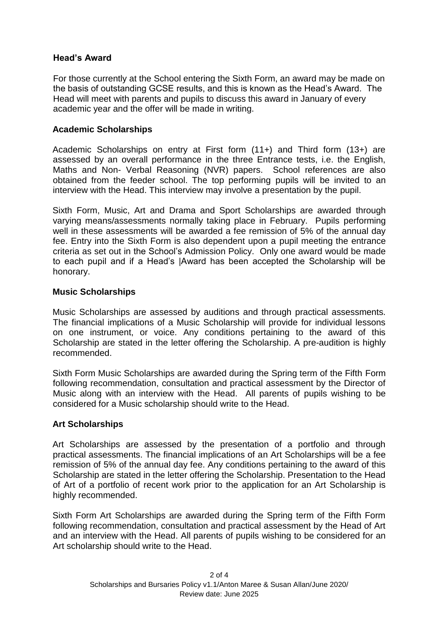## **Head's Award**

For those currently at the School entering the Sixth Form, an award may be made on the basis of outstanding GCSE results, and this is known as the Head's Award. The Head will meet with parents and pupils to discuss this award in January of every academic year and the offer will be made in writing.

## **Academic Scholarships**

Academic Scholarships on entry at First form (11+) and Third form (13+) are assessed by an overall performance in the three Entrance tests, i.e. the English, Maths and Non- Verbal Reasoning (NVR) papers. School references are also obtained from the feeder school. The top performing pupils will be invited to an interview with the Head. This interview may involve a presentation by the pupil.

Sixth Form, Music, Art and Drama and Sport Scholarships are awarded through varying means/assessments normally taking place in February. Pupils performing well in these assessments will be awarded a fee remission of 5% of the annual day fee. Entry into the Sixth Form is also dependent upon a pupil meeting the entrance criteria as set out in the School's Admission Policy. Only one award would be made to each pupil and if a Head's |Award has been accepted the Scholarship will be honorary.

#### **Music Scholarships**

Music Scholarships are assessed by auditions and through practical assessments. The financial implications of a Music Scholarship will provide for individual lessons on one instrument, or voice. Any conditions pertaining to the award of this Scholarship are stated in the letter offering the Scholarship. A pre-audition is highly recommended.

Sixth Form Music Scholarships are awarded during the Spring term of the Fifth Form following recommendation, consultation and practical assessment by the Director of Music along with an interview with the Head. All parents of pupils wishing to be considered for a Music scholarship should write to the Head.

# **Art Scholarships**

Art Scholarships are assessed by the presentation of a portfolio and through practical assessments. The financial implications of an Art Scholarships will be a fee remission of 5% of the annual day fee. Any conditions pertaining to the award of this Scholarship are stated in the letter offering the Scholarship. Presentation to the Head of Art of a portfolio of recent work prior to the application for an Art Scholarship is highly recommended.

Sixth Form Art Scholarships are awarded during the Spring term of the Fifth Form following recommendation, consultation and practical assessment by the Head of Art and an interview with the Head. All parents of pupils wishing to be considered for an Art scholarship should write to the Head.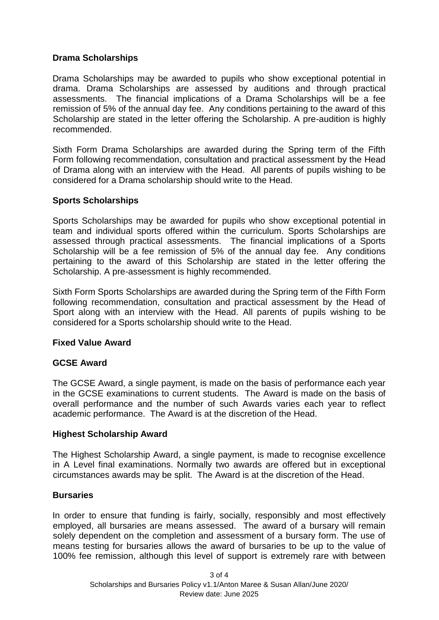### **Drama Scholarships**

Drama Scholarships may be awarded to pupils who show exceptional potential in drama. Drama Scholarships are assessed by auditions and through practical assessments. The financial implications of a Drama Scholarships will be a fee remission of 5% of the annual day fee. Any conditions pertaining to the award of this Scholarship are stated in the letter offering the Scholarship. A pre-audition is highly recommended.

Sixth Form Drama Scholarships are awarded during the Spring term of the Fifth Form following recommendation, consultation and practical assessment by the Head of Drama along with an interview with the Head. All parents of pupils wishing to be considered for a Drama scholarship should write to the Head.

#### **Sports Scholarships**

Sports Scholarships may be awarded for pupils who show exceptional potential in team and individual sports offered within the curriculum. Sports Scholarships are assessed through practical assessments. The financial implications of a Sports Scholarship will be a fee remission of 5% of the annual day fee. Any conditions pertaining to the award of this Scholarship are stated in the letter offering the Scholarship. A pre-assessment is highly recommended.

Sixth Form Sports Scholarships are awarded during the Spring term of the Fifth Form following recommendation, consultation and practical assessment by the Head of Sport along with an interview with the Head. All parents of pupils wishing to be considered for a Sports scholarship should write to the Head.

#### **Fixed Value Award**

# **GCSE Award**

The GCSE Award, a single payment, is made on the basis of performance each year in the GCSE examinations to current students. The Award is made on the basis of overall performance and the number of such Awards varies each year to reflect academic performance. The Award is at the discretion of the Head.

#### **Highest Scholarship Award**

The Highest Scholarship Award, a single payment, is made to recognise excellence in A Level final examinations. Normally two awards are offered but in exceptional circumstances awards may be split. The Award is at the discretion of the Head.

#### **Bursaries**

In order to ensure that funding is fairly, socially, responsibly and most effectively employed, all bursaries are means assessed. The award of a bursary will remain solely dependent on the completion and assessment of a bursary form. The use of means testing for bursaries allows the award of bursaries to be up to the value of 100% fee remission, although this level of support is extremely rare with between